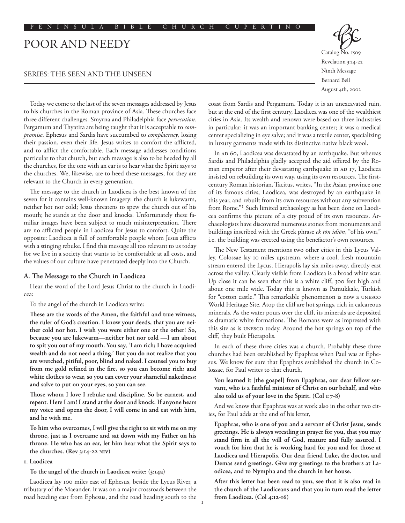# Poor and Needy

# Series: The Seen and the Unseen

Catalog No. 1509 Revelation 3:14-22 Ninth Message Bernard Bell August 4th, 2002

Today we come to the last of the seven messages addressed by Jesus to his churches in the Roman province of Asia. These churches face three different challenges. Smyrna and Philadelphia face *persecution*. Pergamum and Thyatira are being taught that it is acceptable to *compromise*. Ephesus and Sardis have succumbed to *complacency*, losing their passion, even their life. Jesus writes to comfort the afflicted, and to afflict the comfortable. Each message addresses conditions particular to that church, but each message is also to be heeded by all the churches, for the one with an ear is to hear what the Spirit says to the churches. We, likewise, are to heed these messages, for they are relevant to the Church in every generation.

The message to the church in Laodicea is the best known of the seven for it contains well-known imagery: the church is lukewarm, neither hot nor cold; Jesus threatens to spew the church out of his mouth; he stands at the door and knocks. Unfortunately these familiar images have been subject to much misinterpretation. There are no afflicted people in Laodicea for Jesus to comfort. Quite the opposite: Laodicea is full of comfortable people whom Jesus afflicts with a stinging rebuke. I find this message all too relevant to us today for we live in a society that wants to be comfortable at all costs, and the values of our culture have penetrated deeply into the Church.

### **A. The Message to the Church in Laodicea**

Hear the word of the Lord Jesus Christ to the church in Laodicea:

To the angel of the church in Laodicea write:

**These are the words of the Amen, the faithful and true witness, the ruler of God's creation. I know your deeds, that you are neither cold nor hot. I wish you were either one or the other! So, because you are lukewarm—neither hot nor cold —I am about to spit you out of my mouth. You say, 'I am rich; I have acquired wealth and do not need a thing.' But you do not realize that you are wretched, pitiful, poor, blind and naked. I counsel you to buy from me gold refined in the fire, so you can become rich; and white clothes to wear, so you can cover your shameful nakedness; and salve to put on your eyes, so you can see.** 

**Those whom I love I rebuke and discipline. So be earnest, and repent. Here I am! I stand at the door and knock. If anyone hears my voice and opens the door, I will come in and eat with him, and he with me.** 

**To him who overcomes, I will give the right to sit with me on my throne, just as I overcame and sat down with my Father on his throne. He who has an ear, let him hear what the Spirit says to the churches. (Rev 3:14-22 NIV)**

#### **1. Laodicea**

**To the angel of the church in Laodicea write: (3:14a)**

Laodicea lay 100 miles east of Ephesus, beside the Lycus River, a tributary of the Maeander. It was on a major crossroads between the road heading east from Ephesus, and the road heading south to the coast from Sardis and Pergamum. Today it is an unexcavated ruin, but at the end of the first century, Laodicea was one of the wealthiest cities in Asia. Its wealth and renown were based on three industries in particular: it was an important banking center; it was a medical center specializing in eye salve; and it was a textile center, specializing in luxury garments made with its distinctive native black wool.

In AD 60, Laodicea was devastated by an earthquake. But whereas Sardis and Philadelphia gladly accepted the aid offered by the Roman emperor after their devastating earthquake in AD 17, Laodicea insisted on rebuilding its own way, using its own resources. The firstcentury Roman historian, Tacitus, writes, "In the Asian province one of its famous cities, Laodicea, was destroyed by an earthquake in this year, and rebuilt from its own resources without any subvention from Rome."1 Such limited archaeology as has been done on Laodicea confirms this picture of a city proud of its own resources. Archaeologists have discovered numerous stones from monuments and buildings inscribed with the Greek phrase *ek tōn idiōn*, "of his own," i.e. the building was erected using the benefactor's own resources.

The New Testament mentions two other cities in this Lycus Valley. Colossae lay 10 miles upstream, where a cool, fresh mountain stream entered the Lycus. Hierapolis lay six miles away, directly east across the valley. Clearly visible from Laodicea is a broad white scar. Up close it can be seen that this is a white cliff, 300 feet high and about one mile wide. Today this is known as Pamukkale, Turkish for "cotton castle." This remarkable phenomenon is now a UNESCO World Heritage Site. Atop the cliff are hot springs, rich in calcareous minerals. As the water pours over the cliff, its minerals are deposited as dramatic white formations. The Romans were as impressed with this site as is UNESCO today. Around the hot springs on top of the cliff, they built Hierapolis.

In each of these three cities was a church. Probably these three churches had been established by Epaphras when Paul was at Ephesus. We know for sure that Epaphras established the church in Colossae, for Paul writes to that church,

**You learned it [the gospel] from Epaphras, our dear fellow servant, who is a faithful minister of Christ on our behalf, and who also told us of your love in the Spirit. (Col 1:7-8)**

And we know that Epaphras was at work also in the other two cities, for Paul adds at the end of his letter,

**Epaphras, who is one of you and a servant of Christ Jesus, sends greetings. He is always wrestling in prayer for you, that you may stand firm in all the will of God, mature and fully assured. I vouch for him that he is working hard for you and for those at Laodicea and Hierapolis. Our dear friend Luke, the doctor, and Demas send greetings. Give my greetings to the brothers at Laodicea, and to Nympha and the church in her house.** 

**After this letter has been read to you, see that it is also read in the church of the Laodiceans and that you in turn read the letter from Laodicea. (Col 4:12-16)**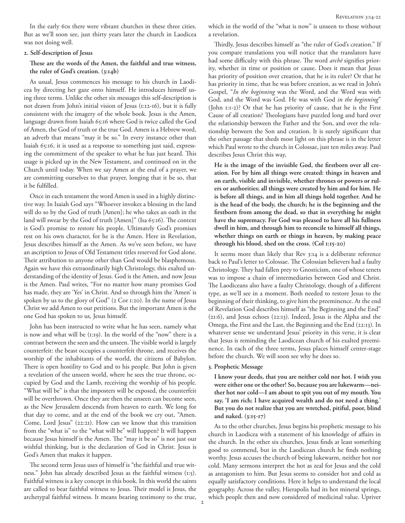In the early 60s there were vibrant churches in these three cities. But as we'll soon see, just thirty years later the church in Laodicea was not doing well.

### **2. Self-description of Jesus**

# **These are the words of the Amen, the faithful and true witness, the ruler of God's creation. (3:14b)**

As usual, Jesus commences his message to his church in Laodicea by directing her gaze onto himself. He introduces himself using three terms. Unlike the other six messages this self-description is not drawn from John's initial vision of Jesus (1:12-16), but it is fully consistent with the imagery of the whole book. Jesus is the Amen, language drawn from Isaiah 65:16 where God is twice called the God of Amen, the God of truth or the true God. Amen is a Hebrew word, an adverb that means "may it be so." In every instance other than Isaiah 65:16, it is used as a response to something just said, expressing the commitment of the speaker to what he has just heard. This usage is picked up in the New Testament, and continued on in the Church until today. When we say Amen at the end of a prayer, we are committing ourselves to that prayer, longing that it be so, that it be fulfilled.

Once in each testament the word Amen is used in a highly distinctive way. In Isaiah God says "Whoever invokes a blessing in the land will do so by the God of truth [Amen]; he who takes an oath in the land will swear by the God of truth [Amen]" (Isa 65:16). The context is God's promise to restore his people. Ultimately God's promises rest on his own character, for he is the Amen. Here in Revelation, Jesus describes himself as the Amen. As we've seen before, we have an ascription to Jesus of Old Testament titles reserved for God alone. Their attribution to anyone other than God would be blasphemous. Again we have this extraordinarily high Christology, this exalted understanding of the identity of Jesus. God is the Amen, and now Jesus is the Amen. Paul writes, "For no matter how many promises God has made, they are 'Yes' in Christ. And so through him the 'Amen' is spoken by us to the glory of God" (2 Cor 1:20). In the name of Jesus Christ we add Amen to our petitions. But the important Amen is the one God has spoken to us, Jesus himself.

John has been instructed to write what he has seen, namely what is now and what will be (1:19). In the world of the "now" there is a contrast between the seen and the unseen. The visible world is largely counterfeit: the beast occupies a counterfeit throne, and receives the worship of the inhabitants of the world, the citizens of Babylon. There is open hostility to God and to his people. But John is given a revelation of the unseen world, where he sees the true throne, occupied by God and the Lamb, receiving the worship of his people. "What will be" is that the imposters will be exposed, the counterfeit will be overthrown. Once they are then the unseen can become seen, as the New Jerusalem descends from heaven to earth. We long for that day to come, and at the end of the book we cry out, "Amen. Come, Lord Jesus" (22:21). How can we know that this transition from the "what is" to the "what will be" will happen? It will happen because Jesus himself is the Amen. The "may it be so" is not just our wishful thinking, but is the declaration of God in Christ. Jesus is God's Amen that makes it happen.

The second term Jesus uses of himself is "the faithful and true witness." John has already described Jesus as the faithful witness (1:5). Faithful witness is a key concept in this book. In this world the saints are called to bear faithful witness to Jesus. Their model is Jesus, the archetypal faithful witness. It means bearing testimony to the true, which in the world of the "what is now" is unseen to those without a revelation.

Thirdly, Jesus describes himself as "the ruler of God's creation." If you compare translations you will notice that the translators have had some difficulty with this phrase. The word *archē* signifies priority, whether in time or position or cause. Does it mean that Jesus has priority of position over creation, that he is its ruler? Or that he has priority in time, that he was before creation, as we read in John's Gospel, "*In the beginning* was the Word, and the Word was with God, and the Word was God. He was with God *in the beginning*" (John 1:1-2)? Or that he has priority of cause, that he is the First Cause of all creation? Theologians have puzzled long and hard over the relationship between the Father and the Son, and over the relationship between the Son and creation. It is surely significant that the other passage that sheds most light on this phrase is in the letter which Paul wrote to the church in Colossae, just ten miles away. Paul describes Jesus Christ this way,

**He is the image of the invisible God, the firstborn over all creation. For by him all things were created: things in heaven and on earth, visible and invisible, whether thrones or powers or rulers or authorities; all things were created by him and for him. He is before all things, and in him all things hold together. And he is the head of the body, the church; he is the beginning and the firstborn from among the dead, so that in everything he might have the supremacy. For God was pleased to have all his fullness dwell in him, and through him to reconcile to himself all things, whether things on earth or things in heaven, by making peace through his blood, shed on the cross. (Col 1:15-20)**

It seems more than likely that Rev 3:14 is a deliberate reference back to Paul's letter to Colossae. The Colossian believers had a faulty Christology. They had fallen prey to Gnosticism, one of whose tenets was to impose a chain of intermediaries between God and Christ. The Laodiceans also have a faulty Christology, though of a different type, as we'll see in a moment. Both needed to restore Jesus to the beginning of their thinking, to give him the preeminence. At the end of Revelation God describes himself as "the Beginning and the End" (21:6), and Jesus echoes (22:13). Indeed, Jesus is the Alpha and the Omega, the First and the Last, the Beginning and the End (22:13). In whatever sense we understand Jesus' priority in this verse, it is clear that Jesus is reminding the Laodicean church of his exalted preeminence. In each of the three terms, Jesus places himself center-stage before the church. We will soon see why he does so.

### **3. Prophetic Message**

**I know your deeds, that you are neither cold nor hot. I wish you were either one or the other! So, because you are lukewarm—neither hot nor cold—I am about to spit you out of my mouth. You say, 'I am rich; I have acquired wealth and do not need a thing.' But you do not realize that you are wretched, pitiful, poor, blind and naked. (3:15-17)**

As to the other churches, Jesus begins his prophetic message to his church in Laodicea with a statement of his knowledge of affairs in the church. In the other six churches, Jesus finds at least something good to commend, but in the Laodicean church he finds nothing worthy. Jesus accuses the church of being lukewarm, neither hot nor cold. Many sermons interpret the hot as zeal for Jesus and the cold as antagonism to him. But Jesus seems to consider hot and cold as equally satisfactory conditions. Here it helps to understand the local geography. Across the valley, Hierapolis had its hot mineral springs, which people then and now considered of medicinal value. Upriver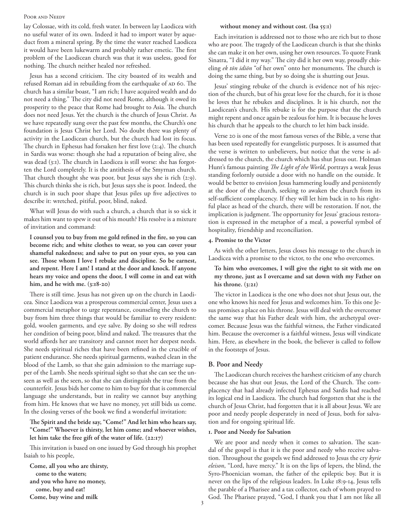#### Poor and Needy

lay Colossae, with its cold, fresh water. In between lay Laodicea with no useful water of its own. Indeed it had to import water by aqueduct from a mineral spring. By the time the water reached Laodicea it would have been lukewarm and probably rather emetic. The first problem of the Laodicean church was that it was useless, good for nothing. The church neither healed nor refreshed.

Jesus has a second criticism. The city boasted of its wealth and refused Roman aid in rebuilding from the earthquake of AD 60. The church has a similar boast, "I am rich; I have acquired wealth and do not need a thing." The city did not need Rome, although it owed its prosperity to the peace that Rome had brought to Asia. The church does not need Jesus. Yet the church is the church of Jesus Christ. As we have repeatedly sung over the past few months, the Church's one foundation is Jesus Christ her Lord. No doubt there was plenty of activity in the Laodicean church, but the church had lost its focus. The church in Ephesus had forsaken her first love (2:4). The church in Sardis was worse: though she had a reputation of being alive, she was dead (3:1). The church in Laodicea is still worse: she has forgotten the Lord completely. It is the antithesis of the Smyrnan church. That church thought she was poor, but Jesus says she is rich (2:9). This church thinks she is rich, but Jesus says she is poor. Indeed, the church is in such poor shape that Jesus piles up five adjectives to describe it: wretched, pitiful, poor, blind, naked.

What will Jesus do with such a church, a church that is so sick it makes him want to spew it out of his mouth? His resolve is a mixture of invitation and command:

**I counsel you to buy from me gold refined in the fire, so you can become rich; and white clothes to wear, so you can cover your shameful nakedness; and salve to put on your eyes, so you can see. Those whom I love I rebuke and discipline. So be earnest, and repent. Here I am! I stand at the door and knock. If anyone hears my voice and opens the door, I will come in and eat with him, and he with me. (3:18-20)**

There is still time. Jesus has not given up on the church in Laodicea. Since Laodicea was a prosperous commercial center, Jesus uses a commercial metaphor to urge repentance, counseling the church to buy from him three things that would be familiar to every resident: gold, woolen garments, and eye salve. By doing so she will redress her condition of being poor, blind and naked. The treasures that the world affords her are transitory and cannot meet her deepest needs. She needs spiritual riches that have been refined in the crucible of patient endurance. She needs spiritual garments, washed clean in the blood of the Lamb, so that she gain admission to the marriage supper of the Lamb. She needs spiritual sight so that she can see the unseen as well as the seen, so that she can distinguish the true from the counterfeit. Jesus bids her come to him to buy for that is commercial language she understands, but in reality we cannot buy anything from him. He knows that we have no money, yet still bids us come. In the closing verses of the book we find a wonderful invitation:

# **The Spirit and the bride say, "Come!" And let him who hears say, "Come!" Whoever is thirsty, let him come; and whoever wishes, let him take the free gift of the water of life. (22:17)**

This invitation is based on one issued by God through his prophet Isaiah to his people,

**Come, all you who are thirsty, come to the waters; and you who have no money, come, buy and eat! Come, buy wine and milk** 

#### **without money and without cost. (Isa 55:1)**

Each invitation is addressed not to those who are rich but to those who are poor. The tragedy of the Laodicean church is that she thinks she can make it on her own, using her own resources. To quote Frank Sinatra, "I did it my way." The city did it her own way, proudly chiseling *ek tōn idiōn* "of her own" onto her monuments. The church is doing the same thing, but by so doing she is shutting out Jesus.

Jesus' stinging rebuke of the church is evidence not of his rejection of the church, but of his great love for the church, for it is those he loves that he rebukes and disciplines. It is his church, not the Laodicean's church. His rebuke is for the purpose that the church might repent and once again be zealous for him. It is because he loves his church that he appeals to the church to let him back inside.

Verse 20 is one of the most famous verses of the Bible, a verse that has been used repeatedly for evangelistic purposes. It is assumed that the verse is written to unbelievers, but notice that the verse is addressed to the church, the church which has shut Jesus out. Holman Hunt's famous painting *The Light of the World*, portrays a weak Jesus standing forlornly outside a door with no handle on the outside. It would be better to envision Jesus hammering loudly and persistently at the door of the church, seeking to awaken the church from its self-sufficient complacency. If they will let him back in to his rightful place as head of the church, there will be restoration. If not, the implication is judgment. The opportunity for Jesus' gracious restoration is expressed in the metaphor of a meal, a powerful symbol of hospitality, friendship and reconciliation.

### **4. Promise to the Victor**

As with the other letters, Jesus closes his message to the church in Laodicea with a promise to the victor, to the one who overcomes.

# **To him who overcomes, I will give the right to sit with me on my throne, just as I overcame and sat down with my Father on his throne. (3:21)**

The victor in Laodicea is the one who does not shut Jesus out, the one who knows his need for Jesus and welcomes him. To this one Jesus promises a place on his throne. Jesus will deal with the overcomer the same way that his Father dealt with him, the archetypal overcomer. Because Jesus was the faithful witness, the Father vindicated him. Because the overcomer is a faithful witness, Jesus will vindicate him. Here, as elsewhere in the book, the believer is called to follow in the footsteps of Jesus.

## **B. Poor and Needy**

The Laodicean church receives the harshest criticism of any church because she has shut out Jesus, the Lord of the Church. The complacency that had already infected Ephesus and Sardis had reached its logical end in Laodicea. The church had forgotten that she is the church of Jesus Christ, had forgotten that it is all about Jesus. We are poor and needy people desperately in need of Jesus, both for salvation and for ongoing spiritual life.

### **1. Poor and Needy for Salvation**

We are poor and needy when it comes to salvation. The scandal of the gospel is that it is the poor and needy who receive salvation. Throughout the gospels we find addressed to Jesus the cry *kyrie eleison*, "Lord, have mercy." It is on the lips of lepers, the blind, the Syro-Phoenician woman, the father of the epileptic boy. But it is never on the lips of the religious leaders. In Luke 18:9-14, Jesus tells the parable of a Pharisee and a tax collector, each of whom prayed to God. The Pharisee prayed, "God, I thank you that I am not like all